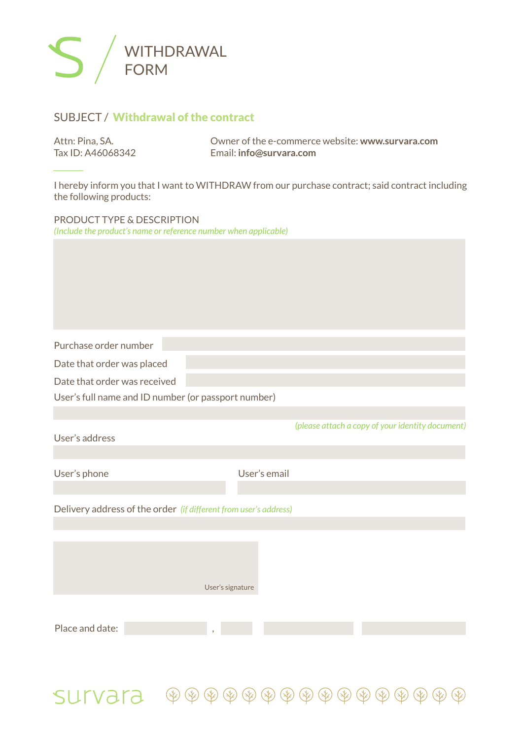

## SUBJECT /Withdrawal of the contract

| Attn: Pina, SA.   | Owner of the e-commerce website: www.survara.com |
|-------------------|--------------------------------------------------|
| Tax ID: A46068342 | Email: info@survara.com                          |

I hereby inform you that I want to WITHDRAW from our purchase contract; said contract including the following products:

PRODUCT TYPE & DESCRIPTION *(Include the product's name or reference number when applicable)*

Purchase order number

Date that order was placed

Date that order was received

User's full name and ID number (or passport number)

User's address

User's phone

User's email

*(please attach a copy of your identity document)*

Delivery address of the order *(if different from user's address)*

User's signature Place and date:

 $SLIV373 \quad \textcircled{\tiny{\textcircled{\tiny{\#}}}} \circledast \circledast \circledast \circledast \circledast \circledast \circledast \circledast \circledast$